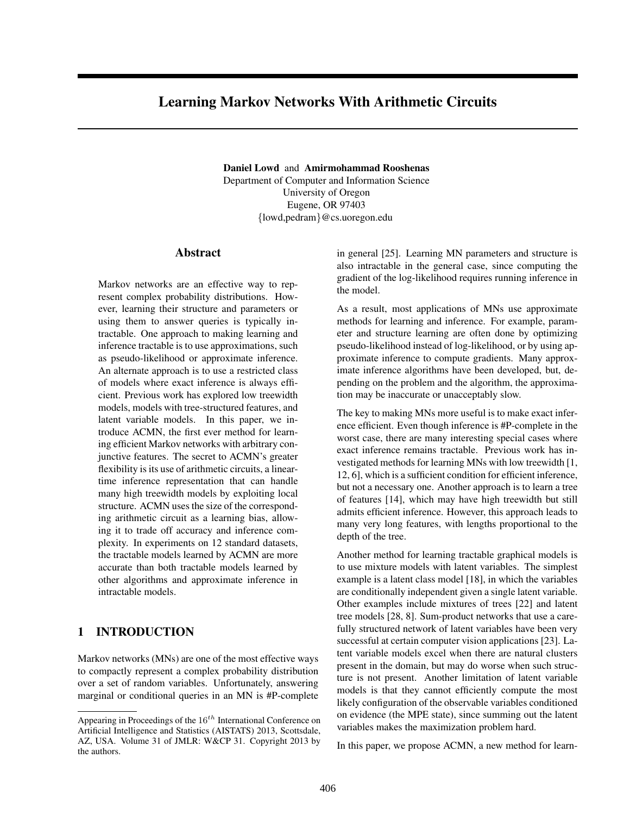# Learning Markov Networks With Arithmetic Circuits

Daniel Lowd and Amirmohammad Rooshenas Department of Computer and Information Science University of Oregon Eugene, OR 97403 {lowd,pedram}@cs.uoregon.edu

#### Abstract

Markov networks are an effective way to represent complex probability distributions. However, learning their structure and parameters or using them to answer queries is typically intractable. One approach to making learning and inference tractable is to use approximations, such as pseudo-likelihood or approximate inference. An alternate approach is to use a restricted class of models where exact inference is always efficient. Previous work has explored low treewidth models, models with tree-structured features, and latent variable models. In this paper, we introduce ACMN, the first ever method for learning efficient Markov networks with arbitrary conjunctive features. The secret to ACMN's greater flexibility is its use of arithmetic circuits, a lineartime inference representation that can handle many high treewidth models by exploiting local structure. ACMN uses the size of the corresponding arithmetic circuit as a learning bias, allowing it to trade off accuracy and inference complexity. In experiments on 12 standard datasets, the tractable models learned by ACMN are more accurate than both tractable models learned by other algorithms and approximate inference in intractable models.

### 1 INTRODUCTION

Markov networks (MNs) are one of the most effective ways to compactly represent a complex probability distribution over a set of random variables. Unfortunately, answering marginal or conditional queries in an MN is #P-complete in general [25]. Learning MN parameters and structure is also intractable in the general case, since computing the gradient of the log-likelihood requires running inference in the model.

As a result, most applications of MNs use approximate methods for learning and inference. For example, parameter and structure learning are often done by optimizing pseudo-likelihood instead of log-likelihood, or by using approximate inference to compute gradients. Many approximate inference algorithms have been developed, but, depending on the problem and the algorithm, the approximation may be inaccurate or unacceptably slow.

The key to making MNs more useful is to make exact inference efficient. Even though inference is #P-complete in the worst case, there are many interesting special cases where exact inference remains tractable. Previous work has investigated methods for learning MNs with low treewidth [1, 12, 6], which is a sufficient condition for efficient inference, but not a necessary one. Another approach is to learn a tree of features [14], which may have high treewidth but still admits efficient inference. However, this approach leads to many very long features, with lengths proportional to the depth of the tree.

Another method for learning tractable graphical models is to use mixture models with latent variables. The simplest example is a latent class model [18], in which the variables are conditionally independent given a single latent variable. Other examples include mixtures of trees [22] and latent tree models [28, 8]. Sum-product networks that use a carefully structured network of latent variables have been very successful at certain computer vision applications [23]. Latent variable models excel when there are natural clusters present in the domain, but may do worse when such structure is not present. Another limitation of latent variable models is that they cannot efficiently compute the most likely configuration of the observable variables conditioned on evidence (the MPE state), since summing out the latent variables makes the maximization problem hard.

In this paper, we propose ACMN, a new method for learn-

Appearing in Proceedings of the  $16^{th}$  International Conference on Artificial Intelligence and Statistics (AISTATS) 2013, Scottsdale, AZ, USA. Volume 31 of JMLR: W&CP 31. Copyright 2013 by the authors.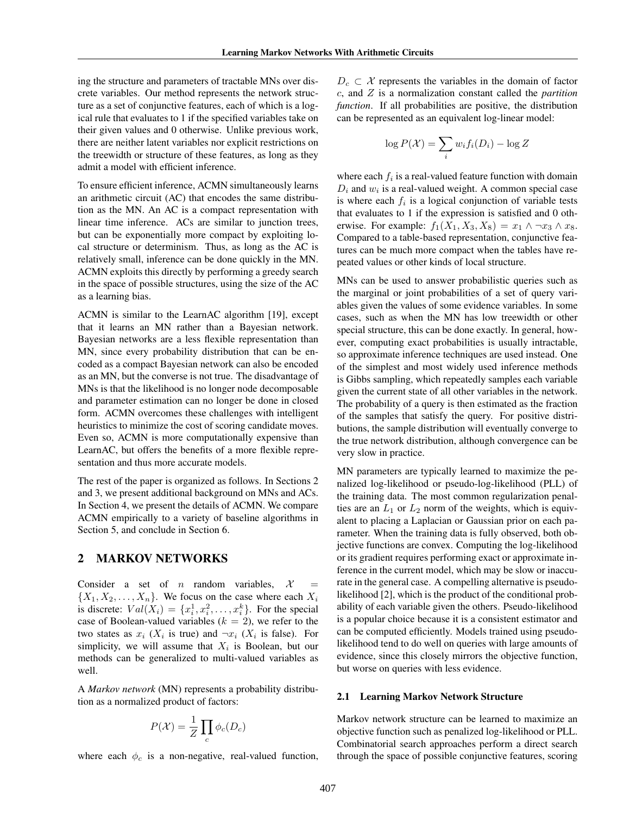ing the structure and parameters of tractable MNs over discrete variables. Our method represents the network structure as a set of conjunctive features, each of which is a logical rule that evaluates to 1 if the specified variables take on their given values and 0 otherwise. Unlike previous work, there are neither latent variables nor explicit restrictions on the treewidth or structure of these features, as long as they admit a model with efficient inference.

To ensure efficient inference, ACMN simultaneously learns an arithmetic circuit (AC) that encodes the same distribution as the MN. An AC is a compact representation with linear time inference. ACs are similar to junction trees, but can be exponentially more compact by exploiting local structure or determinism. Thus, as long as the AC is relatively small, inference can be done quickly in the MN. ACMN exploits this directly by performing a greedy search in the space of possible structures, using the size of the AC as a learning bias.

ACMN is similar to the LearnAC algorithm [19], except that it learns an MN rather than a Bayesian network. Bayesian networks are a less flexible representation than MN, since every probability distribution that can be encoded as a compact Bayesian network can also be encoded as an MN, but the converse is not true. The disadvantage of MNs is that the likelihood is no longer node decomposable and parameter estimation can no longer be done in closed form. ACMN overcomes these challenges with intelligent heuristics to minimize the cost of scoring candidate moves. Even so, ACMN is more computationally expensive than LearnAC, but offers the benefits of a more flexible representation and thus more accurate models.

The rest of the paper is organized as follows. In Sections 2 and 3, we present additional background on MNs and ACs. In Section 4, we present the details of ACMN. We compare ACMN empirically to a variety of baseline algorithms in Section 5, and conclude in Section 6.

### 2 MARKOV NETWORKS

Consider a set of  $n$  random variables,  $\mathcal X$  $\{X_1, X_2, \ldots, X_n\}$ . We focus on the case where each  $X_i$ is discrete:  $Val(X_i) = \{x_i^1, x_i^2, \dots, x_i^k\}$ . For the special case of Boolean-valued variables  $(k = 2)$ , we refer to the two states as  $x_i$  ( $X_i$  is true) and  $\neg x_i$  ( $X_i$  is false). For simplicity, we will assume that  $X_i$  is Boolean, but our methods can be generalized to multi-valued variables as well.

A *Markov network* (MN) represents a probability distribution as a normalized product of factors:

$$
P(\mathcal{X}) = \frac{1}{Z} \prod_c \phi_c(D_c)
$$

where each  $\phi_c$  is a non-negative, real-valued function,

 $D_c \subset \mathcal{X}$  represents the variables in the domain of factor c, and Z is a normalization constant called the *partition function*. If all probabilities are positive, the distribution can be represented as an equivalent log-linear model:

$$
\log P(\mathcal{X}) = \sum_{i} w_i f_i(D_i) - \log Z
$$

where each  $f_i$  is a real-valued feature function with domain  $D_i$  and  $w_i$  is a real-valued weight. A common special case is where each  $f_i$  is a logical conjunction of variable tests that evaluates to 1 if the expression is satisfied and 0 otherwise. For example:  $f_1(X_1, X_3, X_8) = x_1 \wedge \neg x_3 \wedge x_8$ . Compared to a table-based representation, conjunctive features can be much more compact when the tables have repeated values or other kinds of local structure.

MNs can be used to answer probabilistic queries such as the marginal or joint probabilities of a set of query variables given the values of some evidence variables. In some cases, such as when the MN has low treewidth or other special structure, this can be done exactly. In general, however, computing exact probabilities is usually intractable, so approximate inference techniques are used instead. One of the simplest and most widely used inference methods is Gibbs sampling, which repeatedly samples each variable given the current state of all other variables in the network. The probability of a query is then estimated as the fraction of the samples that satisfy the query. For positive distributions, the sample distribution will eventually converge to the true network distribution, although convergence can be very slow in practice.

MN parameters are typically learned to maximize the penalized log-likelihood or pseudo-log-likelihood (PLL) of the training data. The most common regularization penalties are an  $L_1$  or  $L_2$  norm of the weights, which is equivalent to placing a Laplacian or Gaussian prior on each parameter. When the training data is fully observed, both objective functions are convex. Computing the log-likelihood or its gradient requires performing exact or approximate inference in the current model, which may be slow or inaccurate in the general case. A compelling alternative is pseudolikelihood [2], which is the product of the conditional probability of each variable given the others. Pseudo-likelihood is a popular choice because it is a consistent estimator and can be computed efficiently. Models trained using pseudolikelihood tend to do well on queries with large amounts of evidence, since this closely mirrors the objective function, but worse on queries with less evidence.

#### 2.1 Learning Markov Network Structure

Markov network structure can be learned to maximize an objective function such as penalized log-likelihood or PLL. Combinatorial search approaches perform a direct search through the space of possible conjunctive features, scoring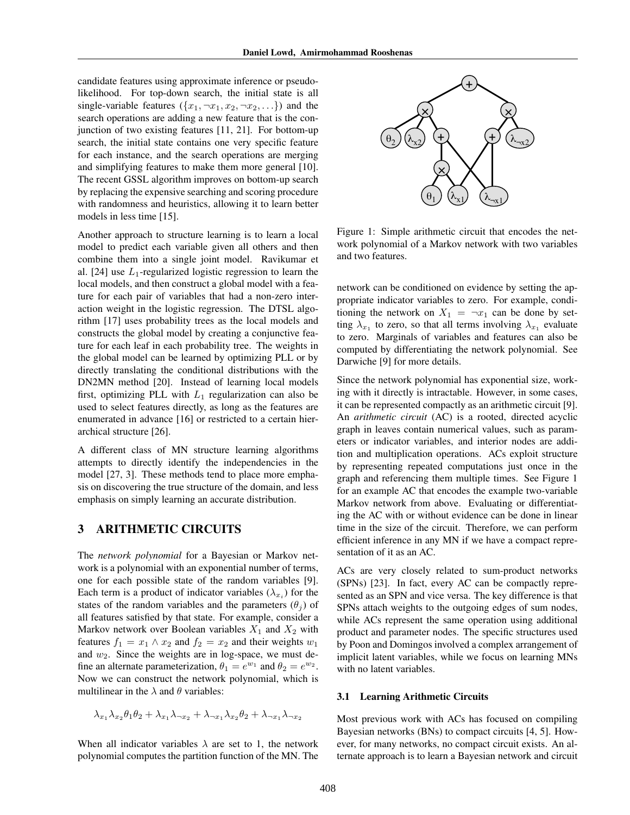candidate features using approximate inference or pseudolikelihood. For top-down search, the initial state is all single-variable features  $({x_1, \neg x_1, x_2, \neg x_2, \ldots})$  and the search operations are adding a new feature that is the conjunction of two existing features [11, 21]. For bottom-up search, the initial state contains one very specific feature for each instance, and the search operations are merging and simplifying features to make them more general [10]. The recent GSSL algorithm improves on bottom-up search by replacing the expensive searching and scoring procedure with randomness and heuristics, allowing it to learn better models in less time [15].

Another approach to structure learning is to learn a local model to predict each variable given all others and then combine them into a single joint model. Ravikumar et al. [24] use  $L_1$ -regularized logistic regression to learn the local models, and then construct a global model with a feature for each pair of variables that had a non-zero interaction weight in the logistic regression. The DTSL algorithm [17] uses probability trees as the local models and constructs the global model by creating a conjunctive feature for each leaf in each probability tree. The weights in the global model can be learned by optimizing PLL or by directly translating the conditional distributions with the DN2MN method [20]. Instead of learning local models first, optimizing PLL with  $L_1$  regularization can also be used to select features directly, as long as the features are enumerated in advance [16] or restricted to a certain hierarchical structure [26].

A different class of MN structure learning algorithms attempts to directly identify the independencies in the model [27, 3]. These methods tend to place more emphasis on discovering the true structure of the domain, and less emphasis on simply learning an accurate distribution.

### 3 ARITHMETIC CIRCUITS

The *network polynomial* for a Bayesian or Markov network is a polynomial with an exponential number of terms, one for each possible state of the random variables [9]. Each term is a product of indicator variables  $(\lambda_{x_i})$  for the states of the random variables and the parameters  $(\theta_i)$  of all features satisfied by that state. For example, consider a Markov network over Boolean variables  $X_1$  and  $X_2$  with features  $f_1 = x_1 \wedge x_2$  and  $f_2 = x_2$  and their weights  $w_1$ and  $w_2$ . Since the weights are in log-space, we must define an alternate parameterization,  $\theta_1 = e^{w_1}$  and  $\theta_2 = e^{w_2}$ . Now we can construct the network polynomial, which is multilinear in the  $\lambda$  and  $\theta$  variables:

$$
\lambda_{x_1}\lambda_{x_2}\theta_1\theta_2 + \lambda_{x_1}\lambda_{\neg x_2} + \lambda_{\neg x_1}\lambda_{x_2}\theta_2 + \lambda_{\neg x_1}\lambda_{\neg x_2}
$$

When all indicator variables  $\lambda$  are set to 1, the network polynomial computes the partition function of the MN. The



Figure 1: Simple arithmetic circuit that encodes the network polynomial of a Markov network with two variables and two features.

network can be conditioned on evidence by setting the appropriate indicator variables to zero. For example, conditioning the network on  $X_1 = \neg x_1$  can be done by setting  $\lambda_{x_1}$  to zero, so that all terms involving  $\lambda_{x_1}$  evaluate to zero. Marginals of variables and features can also be computed by differentiating the network polynomial. See Darwiche [9] for more details.

Since the network polynomial has exponential size, working with it directly is intractable. However, in some cases, it can be represented compactly as an arithmetic circuit [9]. An *arithmetic circuit* (AC) is a rooted, directed acyclic graph in leaves contain numerical values, such as parameters or indicator variables, and interior nodes are addition and multiplication operations. ACs exploit structure by representing repeated computations just once in the graph and referencing them multiple times. See Figure 1 for an example AC that encodes the example two-variable Markov network from above. Evaluating or differentiating the AC with or without evidence can be done in linear time in the size of the circuit. Therefore, we can perform efficient inference in any MN if we have a compact representation of it as an AC.

ACs are very closely related to sum-product networks (SPNs) [23]. In fact, every AC can be compactly represented as an SPN and vice versa. The key difference is that SPNs attach weights to the outgoing edges of sum nodes, while ACs represent the same operation using additional product and parameter nodes. The specific structures used by Poon and Domingos involved a complex arrangement of implicit latent variables, while we focus on learning MNs with no latent variables.

#### 3.1 Learning Arithmetic Circuits

Most previous work with ACs has focused on compiling Bayesian networks (BNs) to compact circuits [4, 5]. However, for many networks, no compact circuit exists. An alternate approach is to learn a Bayesian network and circuit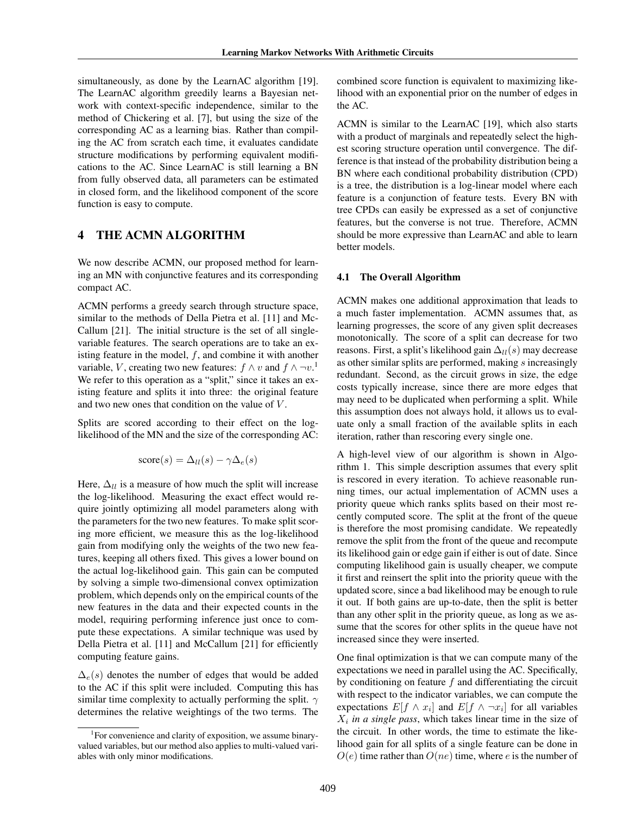simultaneously, as done by the LearnAC algorithm [19]. The LearnAC algorithm greedily learns a Bayesian network with context-specific independence, similar to the method of Chickering et al. [7], but using the size of the corresponding AC as a learning bias. Rather than compiling the AC from scratch each time, it evaluates candidate structure modifications by performing equivalent modifications to the AC. Since LearnAC is still learning a BN from fully observed data, all parameters can be estimated in closed form, and the likelihood component of the score function is easy to compute.

### 4 THE ACMN ALGORITHM

We now describe ACMN, our proposed method for learning an MN with conjunctive features and its corresponding compact AC.

ACMN performs a greedy search through structure space, similar to the methods of Della Pietra et al. [11] and Mc-Callum [21]. The initial structure is the set of all singlevariable features. The search operations are to take an existing feature in the model,  $f$ , and combine it with another variable, V, creating two new features:  $f \wedge v$  and  $f \wedge \neg v$ .<sup>1</sup> We refer to this operation as a "split," since it takes an existing feature and splits it into three: the original feature and two new ones that condition on the value of V.

Splits are scored according to their effect on the loglikelihood of the MN and the size of the corresponding AC:

$$
score(s) = \Delta_{ll}(s) - \gamma \Delta_e(s)
$$

Here,  $\Delta_{ll}$  is a measure of how much the split will increase the log-likelihood. Measuring the exact effect would require jointly optimizing all model parameters along with the parameters for the two new features. To make split scoring more efficient, we measure this as the log-likelihood gain from modifying only the weights of the two new features, keeping all others fixed. This gives a lower bound on the actual log-likelihood gain. This gain can be computed by solving a simple two-dimensional convex optimization problem, which depends only on the empirical counts of the new features in the data and their expected counts in the model, requiring performing inference just once to compute these expectations. A similar technique was used by Della Pietra et al. [11] and McCallum [21] for efficiently computing feature gains.

 $\Delta_e(s)$  denotes the number of edges that would be added to the AC if this split were included. Computing this has similar time complexity to actually performing the split.  $\gamma$ determines the relative weightings of the two terms. The combined score function is equivalent to maximizing likelihood with an exponential prior on the number of edges in the AC.

ACMN is similar to the LearnAC [19], which also starts with a product of marginals and repeatedly select the highest scoring structure operation until convergence. The difference is that instead of the probability distribution being a BN where each conditional probability distribution (CPD) is a tree, the distribution is a log-linear model where each feature is a conjunction of feature tests. Every BN with tree CPDs can easily be expressed as a set of conjunctive features, but the converse is not true. Therefore, ACMN should be more expressive than LearnAC and able to learn better models.

#### 4.1 The Overall Algorithm

ACMN makes one additional approximation that leads to a much faster implementation. ACMN assumes that, as learning progresses, the score of any given split decreases monotonically. The score of a split can decrease for two reasons. First, a split's likelihood gain  $\Delta_{ll}(s)$  may decrease as other similar splits are performed, making s increasingly redundant. Second, as the circuit grows in size, the edge costs typically increase, since there are more edges that may need to be duplicated when performing a split. While this assumption does not always hold, it allows us to evaluate only a small fraction of the available splits in each iteration, rather than rescoring every single one.

A high-level view of our algorithm is shown in Algorithm 1. This simple description assumes that every split is rescored in every iteration. To achieve reasonable running times, our actual implementation of ACMN uses a priority queue which ranks splits based on their most recently computed score. The split at the front of the queue is therefore the most promising candidate. We repeatedly remove the split from the front of the queue and recompute its likelihood gain or edge gain if either is out of date. Since computing likelihood gain is usually cheaper, we compute it first and reinsert the split into the priority queue with the updated score, since a bad likelihood may be enough to rule it out. If both gains are up-to-date, then the split is better than any other split in the priority queue, as long as we assume that the scores for other splits in the queue have not increased since they were inserted.

One final optimization is that we can compute many of the expectations we need in parallel using the AC. Specifically, by conditioning on feature  $f$  and differentiating the circuit with respect to the indicator variables, we can compute the expectations  $E[f \wedge x_i]$  and  $E[f \wedge \neg x_i]$  for all variables  $X_i$  in a single pass, which takes linear time in the size of the circuit. In other words, the time to estimate the likelihood gain for all splits of a single feature can be done in  $O(e)$  time rather than  $O(ne)$  time, where e is the number of

<sup>&</sup>lt;sup>1</sup>For convenience and clarity of exposition, we assume binaryvalued variables, but our method also applies to multi-valued variables with only minor modifications.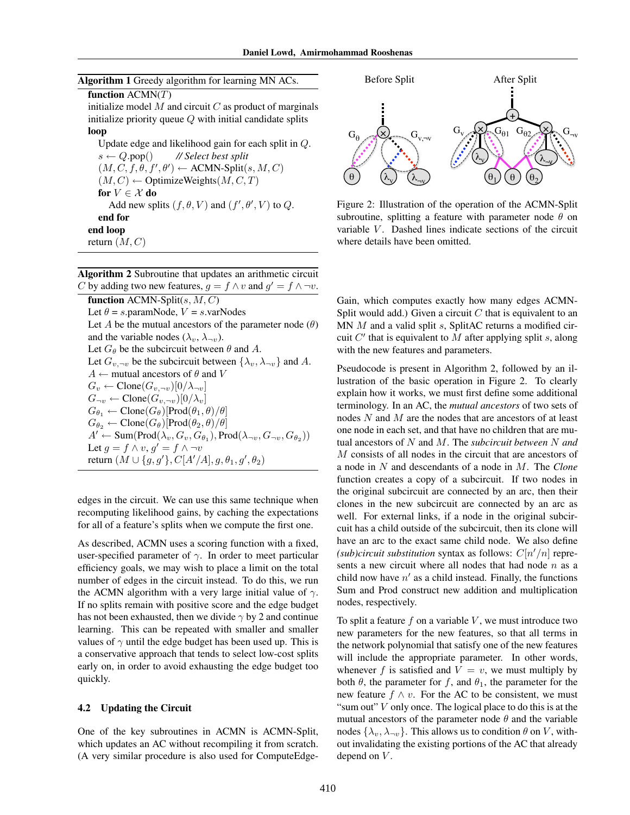Algorithm 2 Subroutine that updates an arithmetic circuit C by adding two new features,  $g = f \wedge v$  and  $g' = f \wedge \neg v$ .

function  $ACMN-Split(s, M, C)$ Let  $\theta = s$ .paramNode,  $V = s$ .varNodes Let A be the mutual ancestors of the parameter node  $(\theta)$ and the variable nodes  $(\lambda_v, \lambda_{\neg v})$ . Let  $G_{\theta}$  be the subcircuit between  $\theta$  and A. Let  $G_{v, \neg v}$  be the subcircuit between  $\{\lambda_v, \lambda_{\neg v}\}$  and A.  $A \leftarrow$  mutual ancestors of  $\theta$  and  $V$  $G_v \leftarrow \text{Clore}(G_{v, \neg v})[0/\lambda_{\neg v}]$  $G_{\neg v} \leftarrow \text{Clore}(G_{v, \neg v})[0/\lambda_v]$  $G_{\theta_1} \leftarrow \text{Clone}(G_{\theta})[\text{Prod}(\theta_1, \theta)/\theta]$  $G_{\theta_2} \leftarrow \text{Clore}(G_{\theta})[\text{Prod}(\theta_2, \theta)/\theta]$  $A' \leftarrow \text{Sum}(\text{Prod}(\lambda_v, G_v, G_{\theta_1}), \text{Prod}(\lambda_{\neg v}, G_{\neg v}, G_{\theta_2}))$ Let  $g = f \wedge v$ ,  $g' = f \wedge \neg v$ return  $(M \cup \{g, g'\}, C[A'/A], g, \theta_1, g', \theta_2)$ 

edges in the circuit. We can use this same technique when recomputing likelihood gains, by caching the expectations for all of a feature's splits when we compute the first one.

As described, ACMN uses a scoring function with a fixed, user-specified parameter of  $\gamma$ . In order to meet particular efficiency goals, we may wish to place a limit on the total number of edges in the circuit instead. To do this, we run the ACMN algorithm with a very large initial value of  $\gamma$ . If no splits remain with positive score and the edge budget has not been exhausted, then we divide  $\gamma$  by 2 and continue learning. This can be repeated with smaller and smaller values of  $\gamma$  until the edge budget has been used up. This is a conservative approach that tends to select low-cost splits early on, in order to avoid exhausting the edge budget too quickly.

#### 4.2 Updating the Circuit

One of the key subroutines in ACMN is ACMN-Split, which updates an AC without recompiling it from scratch. (A very similar procedure is also used for ComputeEdge-



Figure 2: Illustration of the operation of the ACMN-Split subroutine, splitting a feature with parameter node  $\theta$  on variable  $V$ . Dashed lines indicate sections of the circuit where details have been omitted.

Gain, which computes exactly how many edges ACMN-Split would add.) Given a circuit  $C$  that is equivalent to an MN  $M$  and a valid split  $s$ , SplitAC returns a modified circuit  $C'$  that is equivalent to  $M$  after applying split  $s$ , along with the new features and parameters.

Pseudocode is present in Algorithm 2, followed by an illustration of the basic operation in Figure 2. To clearly explain how it works, we must first define some additional terminology. In an AC, the *mutual ancestors* of two sets of nodes N and M are the nodes that are ancestors of at least one node in each set, and that have no children that are mutual ancestors of N and M. The *subcircuit between* N *and* M consists of all nodes in the circuit that are ancestors of a node in N and descendants of a node in M. The *Clone* function creates a copy of a subcircuit. If two nodes in the original subcircuit are connected by an arc, then their clones in the new subcircuit are connected by an arc as well. For external links, if a node in the original subcircuit has a child outside of the subcircuit, then its clone will have an arc to the exact same child node. We also define *(sub)circuit substitution* syntax as follows:  $C[n'/n]$  represents a new circuit where all nodes that had node  $n$  as a child now have  $n'$  as a child instead. Finally, the functions Sum and Prod construct new addition and multiplication nodes, respectively.

To split a feature  $f$  on a variable  $V$ , we must introduce two new parameters for the new features, so that all terms in the network polynomial that satisfy one of the new features will include the appropriate parameter. In other words, whenever f is satisfied and  $V = v$ , we must multiply by both  $\theta$ , the parameter for f, and  $\theta_1$ , the parameter for the new feature  $f \wedge v$ . For the AC to be consistent, we must "sum out"  $V$  only once. The logical place to do this is at the mutual ancestors of the parameter node  $\theta$  and the variable nodes  $\{\lambda_v, \lambda_{\neg v}\}.$  This allows us to condition  $\theta$  on V, without invalidating the existing portions of the AC that already depend on  $V$ .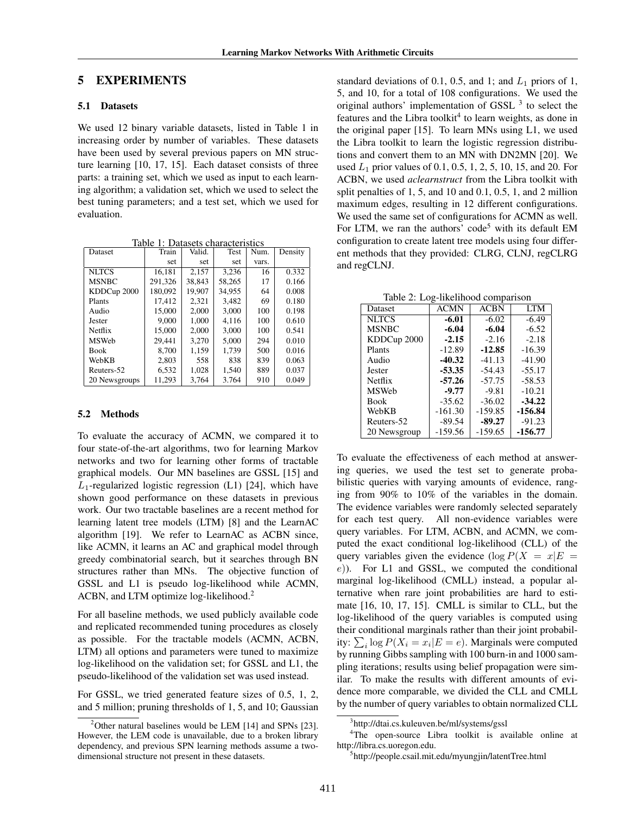### 5 EXPERIMENTS

#### 5.1 Datasets

We used 12 binary variable datasets, listed in Table 1 in increasing order by number of variables. These datasets have been used by several previous papers on MN structure learning [10, 17, 15]. Each dataset consists of three parts: a training set, which we used as input to each learning algorithm; a validation set, which we used to select the best tuning parameters; and a test set, which we used for evaluation.

Table 1: Datasets characteristics<br>
Train | Valid. | Test | Num. Dataset Train Valid. Test Num. Density set set set vars.<br>16.181 2.157 3.236 16 NLTCS | 16,181 | 2,157 | 3,236 | 16 | 0.332

|               |         | ----   | ----   | $\cdot$ | <u> .</u> |
|---------------|---------|--------|--------|---------|-----------|
| <b>MSNBC</b>  | 291,326 | 38,843 | 58,265 | 17      | 0.166     |
| KDDCup 2000   | 180.092 | 19.907 | 34.955 | 64      | 0.008     |
| Plants        | 17.412  | 2.321  | 3.482  | 69      | 0.180     |
| Audio         | 15,000  | 2,000  | 3,000  | 100     | 0.198     |
| Jester        | 9,000   | 1.000  | 4.116  | 100     | 0.610     |
| Netflix       | 15,000  | 2.000  | 3.000  | 100     | 0.541     |
| <b>MSWeb</b>  | 29.441  | 3.270  | 5,000  | 294     | 0.010     |
| <b>Book</b>   | 8.700   | 1,159  | 1,739  | 500     | 0.016     |
| WebKB         | 2,803   | 558    | 838    | 839     | 0.063     |
| Reuters-52    | 6.532   | 1,028  | 1.540  | 889     | 0.037     |
| 20 Newsgroups | 11.293  | 3.764  | 3.764  | 910     | 0.049     |

#### 5.2 Methods

To evaluate the accuracy of ACMN, we compared it to four state-of-the-art algorithms, two for learning Markov networks and two for learning other forms of tractable graphical models. Our MN baselines are GSSL [15] and  $L_1$ -regularized logistic regression (L1) [24], which have shown good performance on these datasets in previous work. Our two tractable baselines are a recent method for learning latent tree models (LTM) [8] and the LearnAC algorithm [19]. We refer to LearnAC as ACBN since, like ACMN, it learns an AC and graphical model through greedy combinatorial search, but it searches through BN structures rather than MNs. The objective function of GSSL and L1 is pseudo log-likelihood while ACMN, ACBN, and LTM optimize log-likelihood.<sup>2</sup>

For all baseline methods, we used publicly available code and replicated recommended tuning procedures as closely as possible. For the tractable models (ACMN, ACBN, LTM) all options and parameters were tuned to maximize log-likelihood on the validation set; for GSSL and L1, the pseudo-likelihood of the validation set was used instead.

For GSSL, we tried generated feature sizes of 0.5, 1, 2, and 5 million; pruning thresholds of 1, 5, and 10; Gaussian

standard deviations of 0.1, 0.5, and 1; and  $L_1$  priors of 1, 5, and 10, for a total of 108 configurations. We used the original authors' implementation of GSSL<sup>3</sup> to select the features and the Libra toolkit<sup>4</sup> to learn weights, as done in the original paper [15]. To learn MNs using L1, we used the Libra toolkit to learn the logistic regression distributions and convert them to an MN with DN2MN [20]. We used  $L_1$  prior values of 0.1, 0.5, 1, 2, 5, 10, 15, and 20. For ACBN, we used *aclearnstruct* from the Libra toolkit with split penalties of 1, 5, and 10 and 0.1, 0.5, 1, and 2 million maximum edges, resulting in 12 different configurations. We used the same set of configurations for ACMN as well. For LTM, we ran the authors' code<sup>5</sup> with its default EM configuration to create latent tree models using four different methods that they provided: CLRG, CLNJ, regCLRG and regCLNJ.

Table 2: Log-likelihood comparison

| Dataset       | <b>ACMN</b> | <b>ACBN</b> | <b>LTM</b> |
|---------------|-------------|-------------|------------|
| <b>NLTCS</b>  | $-6.01$     | $-6.02$     | $-6.49$    |
| <b>MSNBC</b>  | $-6.04$     | $-6.04$     | $-6.52$    |
| KDDCup 2000   | $-2.15$     | $-2.16$     | $-2.18$    |
| Plants        | $-12.89$    | $-12.85$    | $-16.39$   |
| Audio         | $-40.32$    | $-41.13$    | $-41.90$   |
| <b>Jester</b> | $-53.35$    | $-54.43$    | $-55.17$   |
| Netflix       | $-57.26$    | $-57.75$    | $-58.53$   |
| <b>MSWeb</b>  | $-9.77$     | $-9.81$     | $-10.21$   |
| <b>Book</b>   | $-35.62$    | $-36.02$    | $-34.22$   |
| WebKB         | $-161.30$   | $-159.85$   | $-156.84$  |
| Reuters-52    | $-89.54$    | $-89.27$    | $-91.23$   |
| 20 Newsgroup  | $-159.56$   | $-159.65$   | -156.77    |
|               |             |             |            |

To evaluate the effectiveness of each method at answering queries, we used the test set to generate probabilistic queries with varying amounts of evidence, ranging from 90% to 10% of the variables in the domain. The evidence variables were randomly selected separately for each test query. All non-evidence variables were query variables. For LTM, ACBN, and ACMN, we computed the exact conditional log-likelihood (CLL) of the query variables given the evidence (log  $P(X = x|E)$  $(e)$ ). For L1 and GSSL, we computed the conditional marginal log-likelihood (CMLL) instead, a popular alternative when rare joint probabilities are hard to estimate [16, 10, 17, 15]. CMLL is similar to CLL, but the log-likelihood of the query variables is computed using their conditional marginals rather than their joint probability:  $\sum_i \log P(X_i = x_i | E = e)$ . Marginals were computed by running Gibbs sampling with 100 burn-in and 1000 sampling iterations; results using belief propagation were similar. To make the results with different amounts of evidence more comparable, we divided the CLL and CMLL by the number of query variables to obtain normalized CLL

<sup>4</sup>The open-source Libra toolkit is available online at http://libra.cs.uoregon.edu.

<sup>&</sup>lt;sup>2</sup>Other natural baselines would be LEM [14] and SPNs [23]. However, the LEM code is unavailable, due to a broken library dependency, and previous SPN learning methods assume a twodimensional structure not present in these datasets.

<sup>3</sup> http://dtai.cs.kuleuven.be/ml/systems/gssl

<sup>5</sup> http://people.csail.mit.edu/myungjin/latentTree.html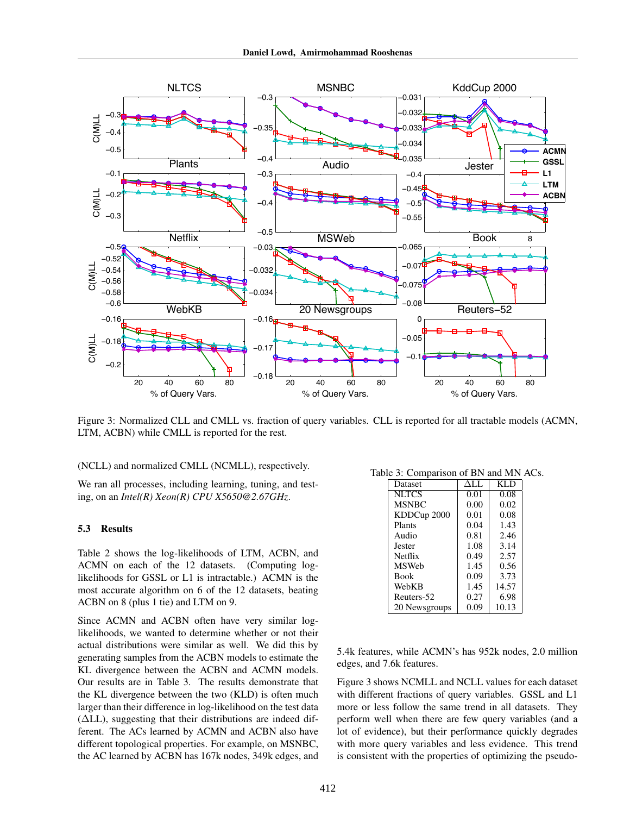

Figure 3: Normalized CLL and CMLL vs. fraction of query variables. CLL is reported for all tractable models (ACMN, LTM, ACBN) while CMLL is reported for the rest.

(NCLL) and normalized CMLL (NCMLL), respectively.

We ran all processes, including learning, tuning, and testing, on an *Intel(R) Xeon(R) CPU X5650@2.67GHz*.

#### 5.3 Results

Table 2 shows the log-likelihoods of LTM, ACBN, and ACMN on each of the 12 datasets. (Computing loglikelihoods for GSSL or L1 is intractable.) ACMN is the most accurate algorithm on 6 of the 12 datasets, beating ACBN on 8 (plus 1 tie) and LTM on 9.

Since ACMN and ACBN often have very similar loglikelihoods, we wanted to determine whether or not their actual distributions were similar as well. We did this by generating samples from the ACBN models to estimate the KL divergence between the ACBN and ACMN models. Our results are in Table 3. The results demonstrate that the KL divergence between the two (KLD) is often much larger than their difference in log-likelihood on the test data (∆LL), suggesting that their distributions are indeed different. The ACs learned by ACMN and ACBN also have different topological properties. For example, on MSNBC, the AC learned by ACBN has 167k nodes, 349k edges, and

Table 3: Comparison of BN and MN ACs.

| Dataset       | ALL. | <b>KLD</b> |
|---------------|------|------------|
| NLTCS         | 0.01 | 0.08       |
| <b>MSNBC</b>  | 0.00 | 0.02       |
| KDDCup 2000   | 0.01 | 0.08       |
| Plants        | 0.04 | 1.43       |
| Audio         | 0.81 | 2.46       |
| Jester        | 1.08 | 3.14       |
| Netflix       | 0.49 | 2.57       |
| <b>MSWeb</b>  | 1.45 | 0.56       |
| <b>Book</b>   | 0.09 | 3.73       |
| WebKB         | 1.45 | 14.57      |
| Reuters-52    | 0.27 | 6.98       |
| 20 Newsgroups | 0.09 | 10.13      |
|               |      |            |

5.4k features, while ACMN's has 952k nodes, 2.0 million edges, and 7.6k features.

Figure 3 shows NCMLL and NCLL values for each dataset with different fractions of query variables. GSSL and L1 more or less follow the same trend in all datasets. They perform well when there are few query variables (and a lot of evidence), but their performance quickly degrades with more query variables and less evidence. This trend is consistent with the properties of optimizing the pseudo-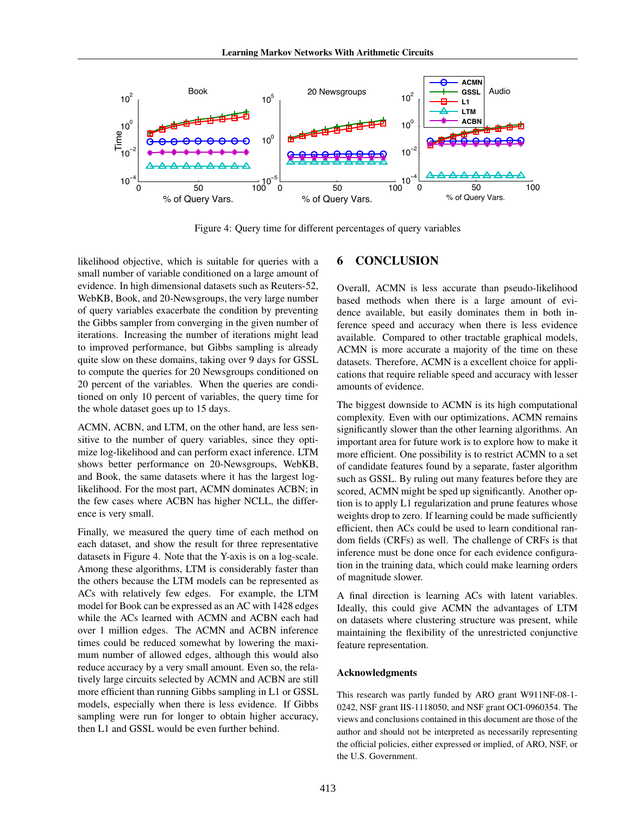

Figure 4: Query time for different percentages of query variables

likelihood objective, which is suitable for queries with a small number of variable conditioned on a large amount of evidence. In high dimensional datasets such as Reuters-52, WebKB, Book, and 20-Newsgroups, the very large number of query variables exacerbate the condition by preventing the Gibbs sampler from converging in the given number of iterations. Increasing the number of iterations might lead to improved performance, but Gibbs sampling is already quite slow on these domains, taking over 9 days for GSSL to compute the queries for 20 Newsgroups conditioned on 20 percent of the variables. When the queries are conditioned on only 10 percent of variables, the query time for the whole dataset goes up to 15 days.

ACMN, ACBN, and LTM, on the other hand, are less sensitive to the number of query variables, since they optimize log-likelihood and can perform exact inference. LTM shows better performance on 20-Newsgroups, WebKB, and Book, the same datasets where it has the largest loglikelihood. For the most part, ACMN dominates ACBN; in the few cases where ACBN has higher NCLL, the difference is very small.

Finally, we measured the query time of each method on each dataset, and show the result for three representative datasets in Figure 4. Note that the Y-axis is on a log-scale. Among these algorithms, LTM is considerably faster than the others because the LTM models can be represented as ACs with relatively few edges. For example, the LTM model for Book can be expressed as an AC with 1428 edges while the ACs learned with ACMN and ACBN each had over 1 million edges. The ACMN and ACBN inference times could be reduced somewhat by lowering the maximum number of allowed edges, although this would also reduce accuracy by a very small amount. Even so, the relatively large circuits selected by ACMN and ACBN are still more efficient than running Gibbs sampling in L1 or GSSL models, especially when there is less evidence. If Gibbs sampling were run for longer to obtain higher accuracy, then L1 and GSSL would be even further behind.

## 6 CONCLUSION

Overall, ACMN is less accurate than pseudo-likelihood based methods when there is a large amount of evidence available, but easily dominates them in both inference speed and accuracy when there is less evidence available. Compared to other tractable graphical models, ACMN is more accurate a majority of the time on these datasets. Therefore, ACMN is a excellent choice for applications that require reliable speed and accuracy with lesser amounts of evidence.

The biggest downside to ACMN is its high computational complexity. Even with our optimizations, ACMN remains significantly slower than the other learning algorithms. An important area for future work is to explore how to make it more efficient. One possibility is to restrict ACMN to a set of candidate features found by a separate, faster algorithm such as GSSL. By ruling out many features before they are scored, ACMN might be sped up significantly. Another option is to apply L1 regularization and prune features whose weights drop to zero. If learning could be made sufficiently efficient, then ACs could be used to learn conditional random fields (CRFs) as well. The challenge of CRFs is that inference must be done once for each evidence configuration in the training data, which could make learning orders of magnitude slower.

A final direction is learning ACs with latent variables. Ideally, this could give ACMN the advantages of LTM on datasets where clustering structure was present, while maintaining the flexibility of the unrestricted conjunctive feature representation.

#### Acknowledgments

This research was partly funded by ARO grant W911NF-08-1- 0242, NSF grant IIS-1118050, and NSF grant OCI-0960354. The views and conclusions contained in this document are those of the author and should not be interpreted as necessarily representing the official policies, either expressed or implied, of ARO, NSF, or the U.S. Government.